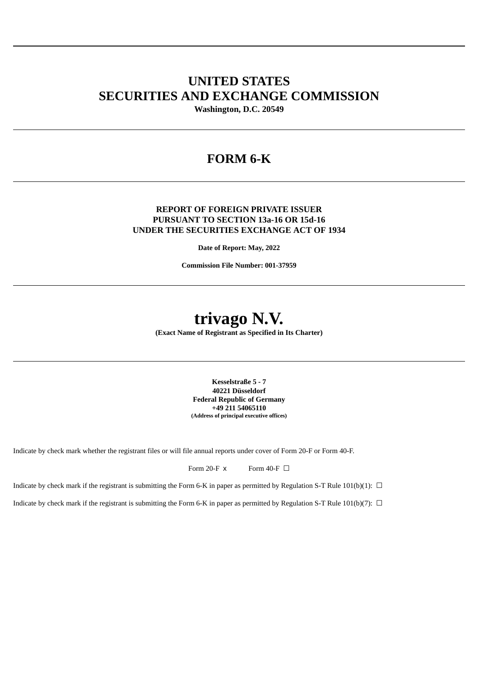# **UNITED STATES SECURITIES AND EXCHANGE COMMISSION**

**Washington, D.C. 20549**

# **FORM 6-K**

# **REPORT OF FOREIGN PRIVATE ISSUER PURSUANT TO SECTION 13a-16 OR 15d-16 UNDER THE SECURITIES EXCHANGE ACT OF 1934**

**Date of Report: May, 2022**

**Commission File Number: 001-37959**

# **trivago N.V.**

**(Exact Name of Registrant as Specified in Its Charter)**

**Kesselstraße 5 - 7 40221 Düsseldorf Federal Republic of Germany +49 211 54065110 (Address of principal executive offices)**

Indicate by check mark whether the registrant files or will file annual reports under cover of Form 20-F or Form 40-F.

Form 20-F  $\times$  Form 40-F  $\Box$ 

Indicate by check mark if the registrant is submitting the Form 6-K in paper as permitted by Regulation S-T Rule 101(b)(1):  $\Box$ 

Indicate by check mark if the registrant is submitting the Form 6-K in paper as permitted by Regulation S-T Rule 101(b)(7):  $\Box$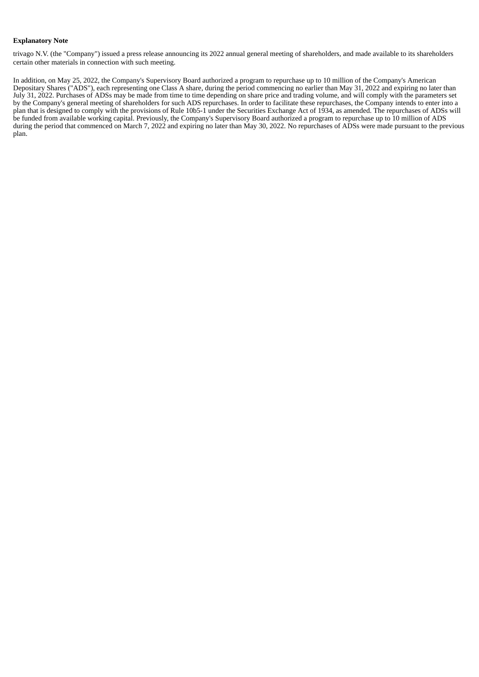#### **Explanatory Note**

trivago N.V. (the "Company") issued a press release announcing its 2022 annual general meeting of shareholders, and made available to its shareholders certain other materials in connection with such meeting.

In addition, on May 25, 2022, the Company's Supervisory Board authorized a program to repurchase up to 10 million of the Company's American Depositary Shares ("ADS"), each representing one Class A share, during the period commencing no earlier than May 31, 2022 and expiring no later than July 31, 2022. Purchases of ADSs may be made from time to time depending on share price and trading volume, and will comply with the parameters set by the Company's general meeting of shareholders for such ADS repurchases. In order to facilitate these repurchases, the Company intends to enter into a plan that is designed to comply with the provisions of Rule 10b5-1 under the Securities Exchange Act of 1934, as amended. The repurchases of ADSs will be funded from available working capital. Previously, the Company's Supervisory Board authorized a program to repurchase up to 10 million of ADS during the period that commenced on March 7, 2022 and expiring no later than May 30, 2022. No repurchases of ADSs were made pursuant to the previous plan.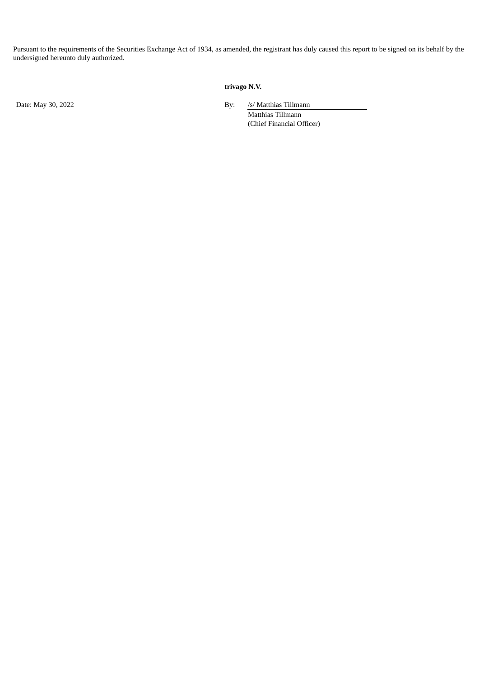Pursuant to the requirements of the Securities Exchange Act of 1934, as amended, the registrant has duly caused this report to be signed on its behalf by the undersigned hereunto duly authorized.

# **trivago N.V.**

Date: May 30, 2022 By: /s/ Matthias Tillmann

Matthias Tillmann (Chief Financial Officer)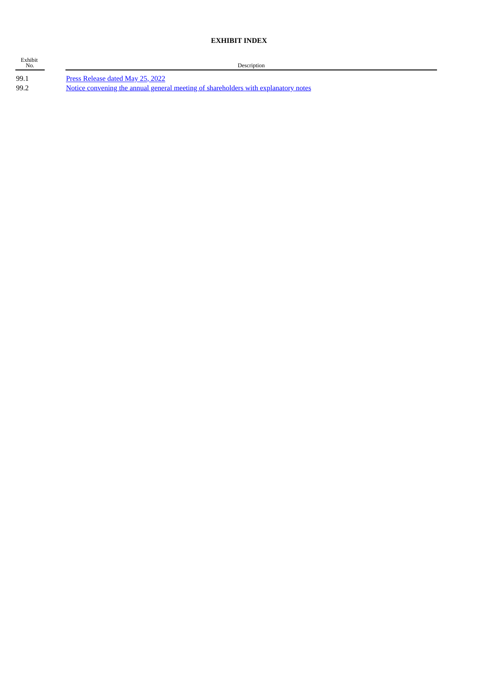# **EXHIBIT INDEX**

| Exhibit<br>No. |                                   |
|----------------|-----------------------------------|
| 99.1           | Press Release dated May 25, 2022  |
| രവെ വ          | Notice convening the annual gener |

**Description** 

99.2 Notice convening the annual general meeting of [shareholders](#page-5-0) with explanatory notes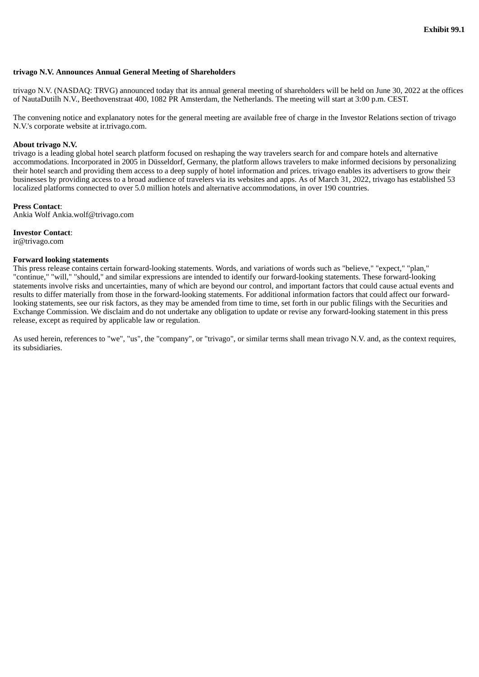#### <span id="page-4-0"></span>**trivago N.V. Announces Annual General Meeting of Shareholders**

trivago N.V. (NASDAQ: TRVG) announced today that its annual general meeting of shareholders will be held on June 30, 2022 at the offices of NautaDutilh N.V., Beethovenstraat 400, 1082 PR Amsterdam, the Netherlands. The meeting will start at 3:00 p.m. CEST.

The convening notice and explanatory notes for the general meeting are available free of charge in the Investor Relations section of trivago N.V.'s corporate website at ir.trivago.com.

#### **About trivago N.V.**

trivago is a leading global hotel search platform focused on reshaping the way travelers search for and compare hotels and alternative accommodations. Incorporated in 2005 in Düsseldorf, Germany, the platform allows travelers to make informed decisions by personalizing their hotel search and providing them access to a deep supply of hotel information and prices. trivago enables its advertisers to grow their businesses by providing access to a broad audience of travelers via its websites and apps. As of March 31, 2022, trivago has established 53 localized platforms connected to over 5.0 million hotels and alternative accommodations, in over 190 countries.

#### **Press Contact**:

Ankia Wolf Ankia.wolf@trivago.com

#### **Investor Contact**:

ir@trivago.com

#### **Forward looking statements**

This press release contains certain forward-looking statements. Words, and variations of words such as "believe," "expect," "plan," "continue," "will," "should," and similar expressions are intended to identify our forward-looking statements. These forward-looking statements involve risks and uncertainties, many of which are beyond our control, and important factors that could cause actual events and results to differ materially from those in the forward-looking statements. For additional information factors that could affect our forwardlooking statements, see our risk factors, as they may be amended from time to time, set forth in our public filings with the Securities and Exchange Commission. We disclaim and do not undertake any obligation to update or revise any forward-looking statement in this press release, except as required by applicable law or regulation.

As used herein, references to "we", "us", the "company", or "trivago", or similar terms shall mean trivago N.V. and, as the context requires, its subsidiaries.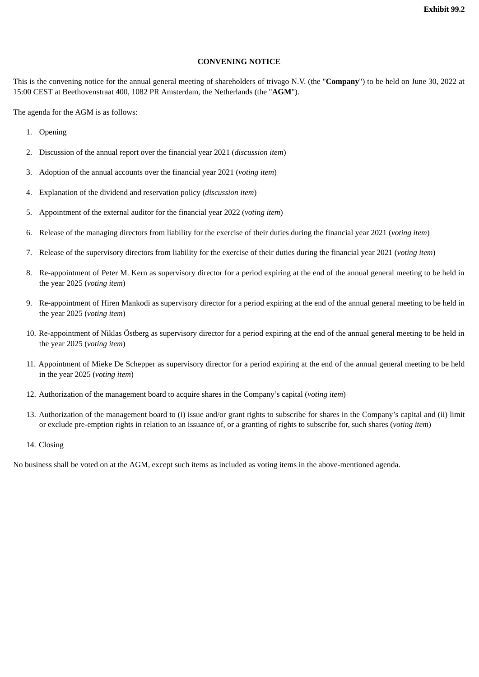## **CONVENING NOTICE**

<span id="page-5-0"></span>This is the convening notice for the annual general meeting of shareholders of trivago N.V. (the "**Company**") to be held on June 30, 2022 at 15:00 CEST at Beethovenstraat 400, 1082 PR Amsterdam, the Netherlands (the "**AGM**").

The agenda for the AGM is as follows:

- 1. Opening
- 2. Discussion of the annual report over the financial year 2021 (*discussion item*)
- 3. Adoption of the annual accounts over the financial year 2021 (*voting item*)
- 4. Explanation of the dividend and reservation policy (*discussion item*)
- 5. Appointment of the external auditor for the financial year 2022 (*voting item*)
- 6. Release of the managing directors from liability for the exercise of their duties during the financial year 2021 (*voting item*)
- 7. Release of the supervisory directors from liability for the exercise of their duties during the financial year 2021 (*voting item*)
- 8. Re-appointment of Peter M. Kern as supervisory director for a period expiring at the end of the annual general meeting to be held in the year 2025 (*voting item*)
- 9. Re-appointment of Hiren Mankodi as supervisory director for a period expiring at the end of the annual general meeting to be held in the year 2025 (*voting item*)
- 10. Re-appointment of Niklas Östberg as supervisory director for a period expiring at the end of the annual general meeting to be held in the year 2025 (*voting item*)
- 11. Appointment of Mieke De Schepper as supervisory director for a period expiring at the end of the annual general meeting to be held in the year 2025 (*voting item*)
- 12. Authorization of the management board to acquire shares in the Company's capital (*voting item*)
- 13. Authorization of the management board to (i) issue and/or grant rights to subscribe for shares in the Company's capital and (ii) limit or exclude pre-emption rights in relation to an issuance of, or a granting of rights to subscribe for, such shares (*voting item*)
- 14. Closing

No business shall be voted on at the AGM, except such items as included as voting items in the above-mentioned agenda.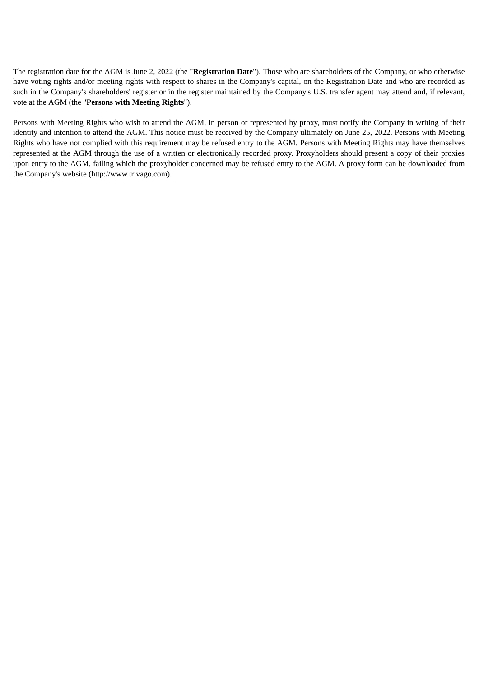The registration date for the AGM is June 2, 2022 (the "**Registration Date**"). Those who are shareholders of the Company, or who otherwise have voting rights and/or meeting rights with respect to shares in the Company's capital, on the Registration Date and who are recorded as such in the Company's shareholders' register or in the register maintained by the Company's U.S. transfer agent may attend and, if relevant, vote at the AGM (the "**Persons with Meeting Rights**").

Persons with Meeting Rights who wish to attend the AGM, in person or represented by proxy, must notify the Company in writing of their identity and intention to attend the AGM. This notice must be received by the Company ultimately on June 25, 2022. Persons with Meeting Rights who have not complied with this requirement may be refused entry to the AGM. Persons with Meeting Rights may have themselves represented at the AGM through the use of a written or electronically recorded proxy. Proxyholders should present a copy of their proxies upon entry to the AGM, failing which the proxyholder concerned may be refused entry to the AGM. A proxy form can be downloaded from the Company's website (http://www.trivago.com).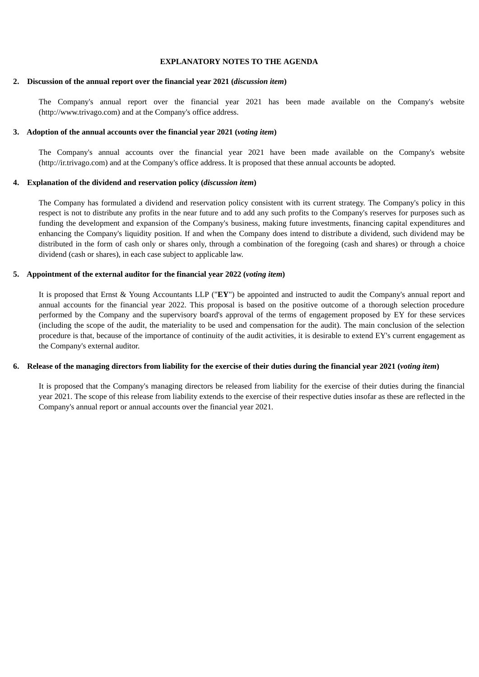#### **EXPLANATORY NOTES TO THE AGENDA**

# **2. Discussion of the annual report over the financial year 2021 (***discussion item***)**

The Company's annual report over the financial year 2021 has been made available on the Company's website (http://www.trivago.com) and at the Company's office address.

#### **3. Adoption of the annual accounts over the financial year 2021 (***voting item***)**

The Company's annual accounts over the financial year 2021 have been made available on the Company's website (http://ir.trivago.com) and at the Company's office address. It is proposed that these annual accounts be adopted.

#### **4. Explanation of the dividend and reservation policy (***discussion item***)**

The Company has formulated a dividend and reservation policy consistent with its current strategy. The Company's policy in this respect is not to distribute any profits in the near future and to add any such profits to the Company's reserves for purposes such as funding the development and expansion of the Company's business, making future investments, financing capital expenditures and enhancing the Company's liquidity position. If and when the Company does intend to distribute a dividend, such dividend may be distributed in the form of cash only or shares only, through a combination of the foregoing (cash and shares) or through a choice dividend (cash or shares), in each case subject to applicable law.

# **5. Appointment of the external auditor for the financial year 2022 (***voting item***)**

It is proposed that Ernst & Young Accountants LLP ("**EY**") be appointed and instructed to audit the Company's annual report and annual accounts for the financial year 2022. This proposal is based on the positive outcome of a thorough selection procedure performed by the Company and the supervisory board's approval of the terms of engagement proposed by EY for these services (including the scope of the audit, the materiality to be used and compensation for the audit). The main conclusion of the selection procedure is that, because of the importance of continuity of the audit activities, it is desirable to extend EY's current engagement as the Company's external auditor.

# 6. Release of the managing directors from liability for the exercise of their duties during the financial year 2021 (voting item)

It is proposed that the Company's managing directors be released from liability for the exercise of their duties during the financial year 2021. The scope of this release from liability extends to the exercise of their respective duties insofar as these are reflected in the Company's annual report or annual accounts over the financial year 2021.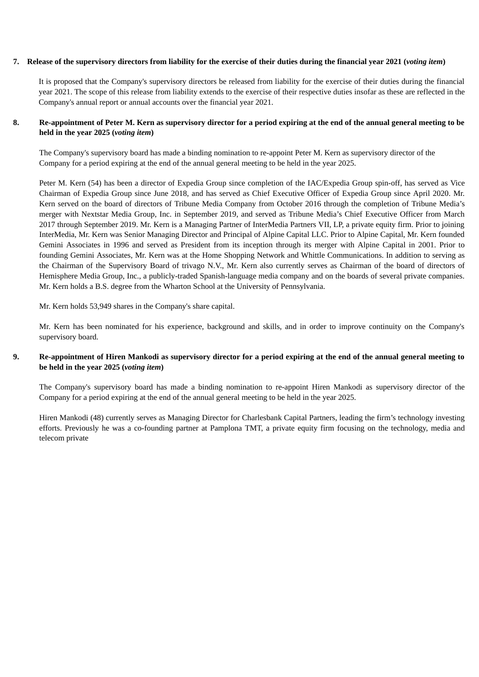# 7. Release of the supervisory directors from liability for the exercise of their duties during the financial year 2021 (voting item)

It is proposed that the Company's supervisory directors be released from liability for the exercise of their duties during the financial year 2021. The scope of this release from liability extends to the exercise of their respective duties insofar as these are reflected in the Company's annual report or annual accounts over the financial year 2021.

# 8. Re-appointment of Peter M. Kern as supervisory director for a period expiring at the end of the annual general meeting to be **held in the year 2025 (***voting item***)**

The Company's supervisory board has made a binding nomination to re-appoint Peter M. Kern as supervisory director of the Company for a period expiring at the end of the annual general meeting to be held in the year 2025.

Peter M. Kern (54) has been a director of Expedia Group since completion of the IAC/Expedia Group spin-off, has served as Vice Chairman of Expedia Group since June 2018, and has served as Chief Executive Officer of Expedia Group since April 2020. Mr. Kern served on the board of directors of Tribune Media Company from October 2016 through the completion of Tribune Media's merger with Nextstar Media Group, Inc. in September 2019, and served as Tribune Media's Chief Executive Officer from March 2017 through September 2019. Mr. Kern is a Managing Partner of InterMedia Partners VII, LP, a private equity firm. Prior to joining InterMedia, Mr. Kern was Senior Managing Director and Principal of Alpine Capital LLC. Prior to Alpine Capital, Mr. Kern founded Gemini Associates in 1996 and served as President from its inception through its merger with Alpine Capital in 2001. Prior to founding Gemini Associates, Mr. Kern was at the Home Shopping Network and Whittle Communications. In addition to serving as the Chairman of the Supervisory Board of trivago N.V., Mr. Kern also currently serves as Chairman of the board of directors of Hemisphere Media Group, Inc., a publicly-traded Spanish-language media company and on the boards of several private companies. Mr. Kern holds a B.S. degree from the Wharton School at the University of Pennsylvania.

Mr. Kern holds 53,949 shares in the Company's share capital.

Mr. Kern has been nominated for his experience, background and skills, and in order to improve continuity on the Company's supervisory board.

# 9. Re-appointment of Hiren Mankodi as supervisory director for a period expiring at the end of the annual general meeting to **be held in the year 2025 (***voting item***)**

The Company's supervisory board has made a binding nomination to re-appoint Hiren Mankodi as supervisory director of the Company for a period expiring at the end of the annual general meeting to be held in the year 2025.

Hiren Mankodi (48) currently serves as Managing Director for Charlesbank Capital Partners, leading the firm's technology investing efforts. Previously he was a co-founding partner at Pamplona TMT, a private equity firm focusing on the technology, media and telecom private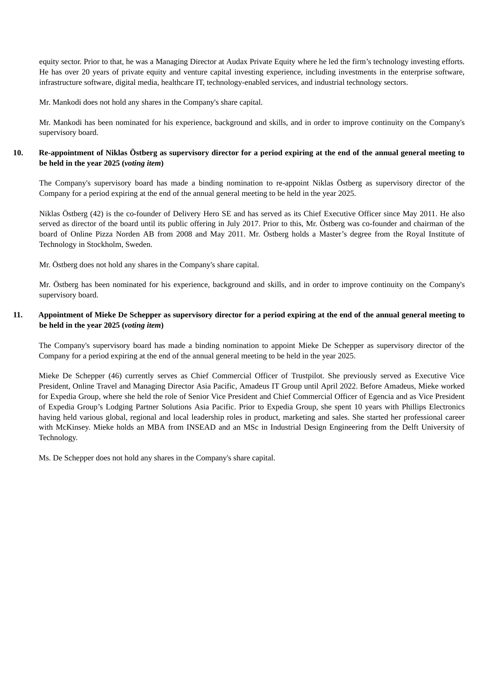equity sector. Prior to that, he was a Managing Director at Audax Private Equity where he led the firm's technology investing efforts. He has over 20 years of private equity and venture capital investing experience, including investments in the enterprise software, infrastructure software, digital media, healthcare IT, technology-enabled services, and industrial technology sectors.

Mr. Mankodi does not hold any shares in the Company's share capital.

Mr. Mankodi has been nominated for his experience, background and skills, and in order to improve continuity on the Company's supervisory board.

# 10. Re-appointment of Niklas Östberg as supervisory director for a period expiring at the end of the annual general meeting to **be held in the year 2025 (***voting item***)**

The Company's supervisory board has made a binding nomination to re-appoint Niklas Östberg as supervisory director of the Company for a period expiring at the end of the annual general meeting to be held in the year 2025.

Niklas Östberg (42) is the co-founder of Delivery Hero SE and has served as its Chief Executive Officer since May 2011. He also served as director of the board until its public offering in July 2017. Prior to this, Mr. Östberg was co-founder and chairman of the board of Online Pizza Norden AB from 2008 and May 2011. Mr. Östberg holds a Master's degree from the Royal Institute of Technology in Stockholm, Sweden.

Mr. Östberg does not hold any shares in the Company's share capital.

Mr. Östberg has been nominated for his experience, background and skills, and in order to improve continuity on the Company's supervisory board.

# 11. Appointment of Mieke De Schepper as supervisory director for a period expiring at the end of the annual general meeting to **be held in the year 2025 (***voting item***)**

The Company's supervisory board has made a binding nomination to appoint Mieke De Schepper as supervisory director of the Company for a period expiring at the end of the annual general meeting to be held in the year 2025.

Mieke De Schepper (46) currently serves as Chief Commercial Officer of Trustpilot. She previously served as Executive Vice President, Online Travel and Managing Director Asia Pacific, Amadeus IT Group until April 2022. Before Amadeus, Mieke worked for Expedia Group, where she held the role of Senior Vice President and Chief Commercial Officer of Egencia and as Vice President of Expedia Group's Lodging Partner Solutions Asia Pacific. Prior to Expedia Group, she spent 10 years with Phillips Electronics having held various global, regional and local leadership roles in product, marketing and sales. She started her professional career with McKinsey. Mieke holds an MBA from INSEAD and an MSc in Industrial Design Engineering from the Delft University of Technology.

Ms. De Schepper does not hold any shares in the Company's share capital.